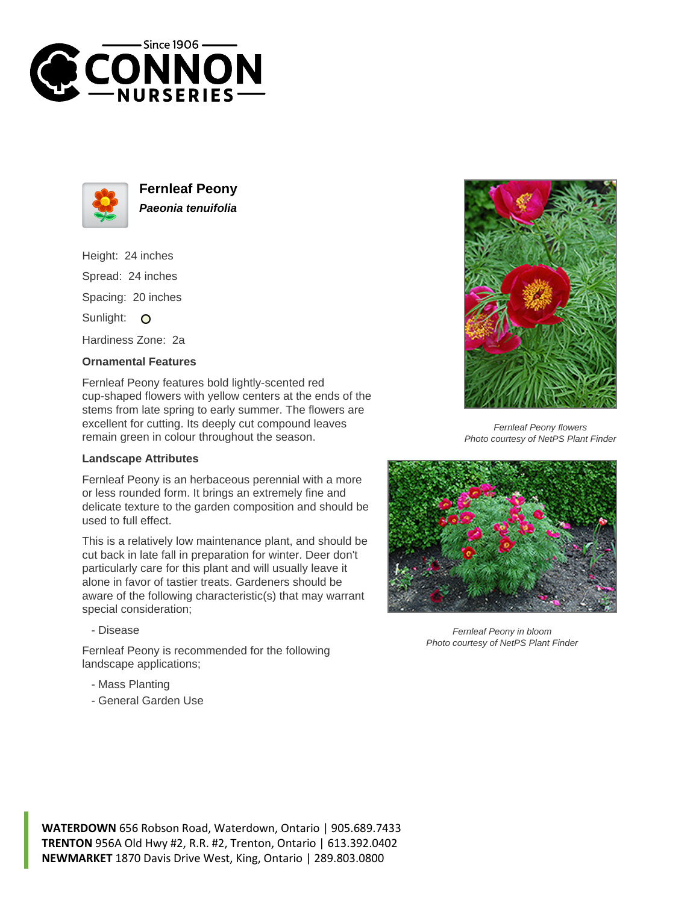



**Fernleaf Peony Paeonia tenuifolia**

Height: 24 inches Spread: 24 inches Spacing: 20 inches Sunlight: O

Hardiness Zone: 2a

## **Ornamental Features**

Fernleaf Peony features bold lightly-scented red cup-shaped flowers with yellow centers at the ends of the stems from late spring to early summer. The flowers are excellent for cutting. Its deeply cut compound leaves remain green in colour throughout the season.

## **Landscape Attributes**

Fernleaf Peony is an herbaceous perennial with a more or less rounded form. It brings an extremely fine and delicate texture to the garden composition and should be used to full effect.

This is a relatively low maintenance plant, and should be cut back in late fall in preparation for winter. Deer don't particularly care for this plant and will usually leave it alone in favor of tastier treats. Gardeners should be aware of the following characteristic(s) that may warrant special consideration;

- Disease

Fernleaf Peony is recommended for the following landscape applications;

- Mass Planting
- General Garden Use



Fernleaf Peony flowers Photo courtesy of NetPS Plant Finder



Fernleaf Peony in bloom Photo courtesy of NetPS Plant Finder

**WATERDOWN** 656 Robson Road, Waterdown, Ontario | 905.689.7433 **TRENTON** 956A Old Hwy #2, R.R. #2, Trenton, Ontario | 613.392.0402 **NEWMARKET** 1870 Davis Drive West, King, Ontario | 289.803.0800